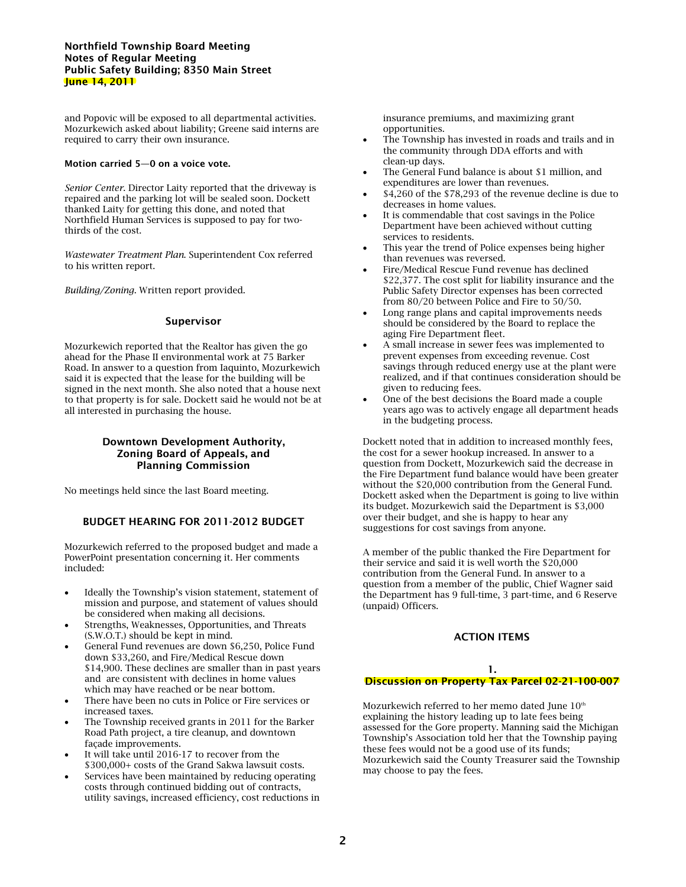## **Northfield Township Board Meeting Notes of Regular Meeting Public Safety Building; 8350 Main Street June 14, 2011**

and Popovic will be exposed to all departmental activities. Mozurkewich asked about liability; Greene said interns are required to carry their own insurance.

## **Motion carried 5—0 on a voice vote.**

*Senior Center*. Director Laity reported that the driveway is repaired and the parking lot will be sealed soon. Dockett thanked Laity for getting this done, and noted that Northfield Human Services is supposed to pay for twothirds of the cost.

*Wastewater Treatment Plan*. Superintendent Cox referred to his written report.

*Building/Zoning*. Written report provided.

## **Supervisor**

Mozurkewich reported that the Realtor has given the go ahead for the Phase II environmental work at 75 Barker Road. In answer to a question from Iaquinto, Mozurkewich said it is expected that the lease for the building will be signed in the next month. She also noted that a house next to that property is for sale. Dockett said he would not be at all interested in purchasing the house.

## **Downtown Development Authority, Zoning Board of Appeals, and Planning Commission**

No meetings held since the last Board meeting.

# **BUDGET HEARING FOR 2011-2012 BUDGET**

Mozurkewich referred to the proposed budget and made a PowerPoint presentation concerning it. Her comments included:

- Ideally the Township's vision statement, statement of mission and purpose, and statement of values should be considered when making all decisions.
- Strengths, Weaknesses, Opportunities, and Threats (S.W.O.T.) should be kept in mind.
- General Fund revenues are down \$6,250, Police Fund down \$33,260, and Fire/Medical Rescue down \$14,900. These declines are smaller than in past years and are consistent with declines in home values which may have reached or be near bottom.
- There have been no cuts in Police or Fire services or increased taxes.
- The Township received grants in 2011 for the Barker Road Path project, a tire cleanup, and downtown façade improvements.
- It will take until 2016-17 to recover from the \$300,000+ costs of the Grand Sakwa lawsuit costs.
- Services have been maintained by reducing operating costs through continued bidding out of contracts, utility savings, increased efficiency, cost reductions in

insurance premiums, and maximizing grant opportunities.

- The Township has invested in roads and trails and in the community through DDA efforts and with clean-up days.
- The General Fund balance is about \$1 million, and expenditures are lower than revenues.
- \$4,260 of the \$78,293 of the revenue decline is due to decreases in home values.
- It is commendable that cost savings in the Police Department have been achieved without cutting services to residents.
- This year the trend of Police expenses being higher than revenues was reversed.
- Fire/Medical Rescue Fund revenue has declined \$22,377. The cost split for liability insurance and the Public Safety Director expenses has been corrected from 80/20 between Police and Fire to 50/50.
- Long range plans and capital improvements needs should be considered by the Board to replace the aging Fire Department fleet.
- A small increase in sewer fees was implemented to prevent expenses from exceeding revenue. Cost savings through reduced energy use at the plant were realized, and if that continues consideration should be given to reducing fees.
- One of the best decisions the Board made a couple years ago was to actively engage all department heads in the budgeting process.

Dockett noted that in addition to increased monthly fees, the cost for a sewer hookup increased. In answer to a question from Dockett, Mozurkewich said the decrease in the Fire Department fund balance would have been greater without the \$20,000 contribution from the General Fund. Dockett asked when the Department is going to live within its budget. Mozurkewich said the Department is \$3,000 over their budget, and she is happy to hear any suggestions for cost savings from anyone.

A member of the public thanked the Fire Department for their service and said it is well worth the \$20,000 contribution from the General Fund. In answer to a question from a member of the public, Chief Wagner said the Department has 9 full-time, 3 part-time, and 6 Reserve (unpaid) Officers.

## **ACTION ITEMS**

## **1. Discussion on Property Tax Parcel 02-21-100-007**

Mozurkewich referred to her memo dated June 10<sup>th</sup> explaining the history leading up to late fees being assessed for the Gore property. Manning said the Michigan Township's Association told her that the Township paying these fees would not be a good use of its funds; Mozurkewich said the County Treasurer said the Township may choose to pay the fees.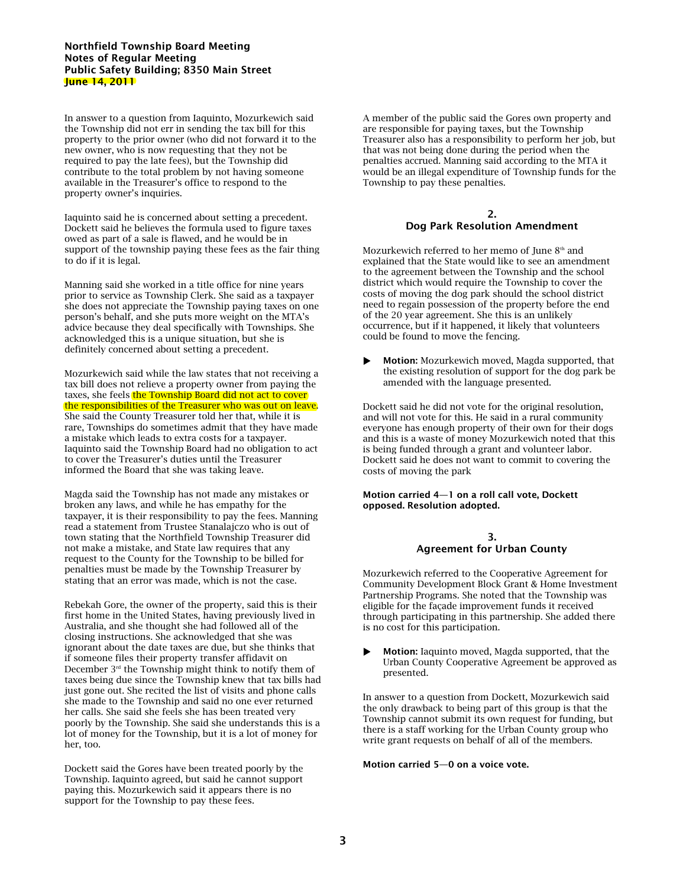## **Northfield Township Board Meeting Notes of Regular Meeting Public Safety Building; 8350 Main Street June 14, 2011**

In answer to a question from Iaquinto, Mozurkewich said the Township did not err in sending the tax bill for this property to the prior owner (who did not forward it to the new owner, who is now requesting that they not be required to pay the late fees), but the Township did contribute to the total problem by not having someone available in the Treasurer's office to respond to the property owner's inquiries.

Iaquinto said he is concerned about setting a precedent. Dockett said he believes the formula used to figure taxes owed as part of a sale is flawed, and he would be in support of the township paying these fees as the fair thing to do if it is legal.

Manning said she worked in a title office for nine years prior to service as Township Clerk. She said as a taxpayer she does not appreciate the Township paying taxes on one person's behalf, and she puts more weight on the MTA's advice because they deal specifically with Townships. She acknowledged this is a unique situation, but she is definitely concerned about setting a precedent.

Mozurkewich said while the law states that not receiving a tax bill does not relieve a property owner from paying the taxes, she feels the Township Board did not act to cover the responsibilities of the Treasurer who was out on leave. She said the County Treasurer told her that, while it is rare, Townships do sometimes admit that they have made a mistake which leads to extra costs for a taxpayer. Iaquinto said the Township Board had no obligation to act to cover the Treasurer's duties until the Treasurer informed the Board that she was taking leave.

Magda said the Township has not made any mistakes or broken any laws, and while he has empathy for the taxpayer, it is their responsibility to pay the fees. Manning read a statement from Trustee Stanalajczo who is out of town stating that the Northfield Township Treasurer did not make a mistake, and State law requires that any request to the County for the Township to be billed for penalties must be made by the Township Treasurer by stating that an error was made, which is not the case.

Rebekah Gore, the owner of the property, said this is their first home in the United States, having previously lived in Australia, and she thought she had followed all of the closing instructions. She acknowledged that she was ignorant about the date taxes are due, but she thinks that if someone files their property transfer affidavit on December  $3<sup>rd</sup>$  the Township might think to notify them of taxes being due since the Township knew that tax bills had just gone out. She recited the list of visits and phone calls she made to the Township and said no one ever returned her calls. She said she feels she has been treated very poorly by the Township. She said she understands this is a lot of money for the Township, but it is a lot of money for her, too.

Dockett said the Gores have been treated poorly by the Township. Iaquinto agreed, but said he cannot support paying this. Mozurkewich said it appears there is no support for the Township to pay these fees.

A member of the public said the Gores own property and are responsible for paying taxes, but the Township Treasurer also has a responsibility to perform her job, but that was not being done during the period when the penalties accrued. Manning said according to the MTA it would be an illegal expenditure of Township funds for the Township to pay these penalties.

## **2. Dog Park Resolution Amendment**

Mozurkewich referred to her memo of June  $8<sup>th</sup>$  and explained that the State would like to see an amendment to the agreement between the Township and the school district which would require the Township to cover the costs of moving the dog park should the school district need to regain possession of the property before the end of the 20 year agreement. She this is an unlikely occurrence, but if it happened, it likely that volunteers could be found to move the fencing.

**Motion:** Mozurkewich moved, Magda supported, that the existing resolution of support for the dog park be amended with the language presented.

Dockett said he did not vote for the original resolution, and will not vote for this. He said in a rural community everyone has enough property of their own for their dogs and this is a waste of money Mozurkewich noted that this is being funded through a grant and volunteer labor. Dockett said he does not want to commit to covering the costs of moving the park

### **Motion carried 4—1 on a roll call vote, Dockett opposed. Resolution adopted.**

## **3. Agreement for Urban County**

Mozurkewich referred to the Cooperative Agreement for Community Development Block Grant & Home Investment Partnership Programs. She noted that the Township was eligible for the façade improvement funds it received through participating in this partnership. She added there is no cost for this participation.

 **Motion:** Iaquinto moved, Magda supported, that the Urban County Cooperative Agreement be approved as presented.

In answer to a question from Dockett, Mozurkewich said the only drawback to being part of this group is that the Township cannot submit its own request for funding, but there is a staff working for the Urban County group who write grant requests on behalf of all of the members.

## **Motion carried 5—0 on a voice vote.**